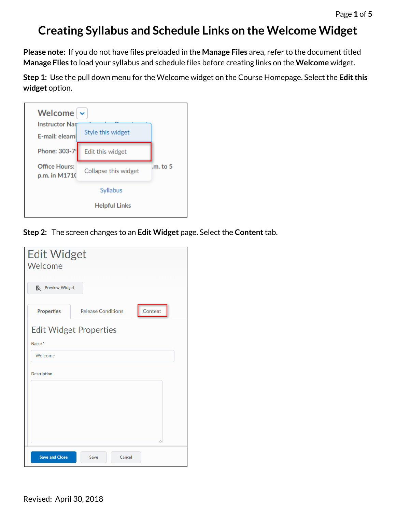## **Creating Syllabus and Schedule Links on the Welcome Widget**

**Please note:** If you do not have files preloaded in the **Manage Files** area, refer to the document titled **Manage Files** to load your syllabus and schedule files before creating links on the **Welcome** widget.

**Step 1:** Use the pull down menu for the Welcome widget on the Course Homepage. Select the **Edit this widget** option.

| Welcome                               |                      |          |
|---------------------------------------|----------------------|----------|
| <b>Instructor Nar</b>                 |                      |          |
| E-mail: elearni                       | Style this widget    |          |
| Phone: 303-7                          | Edit this widget     |          |
| <b>Office Hours:</b><br>p.m. in M1710 | Collapse this widget | .m. to 5 |
|                                       | Syllabus             |          |
|                                       | <b>Helpful Links</b> |          |
|                                       |                      |          |

**Step 2:** The screen changes to an **Edit Widget** page. Select the **Content**tab.

| <b>Edit Widget</b><br>Welcome |                               |         |
|-------------------------------|-------------------------------|---------|
| Fo Preview Widget             |                               |         |
| <b>Properties</b>             | <b>Release Conditions</b>     | Content |
| Name <sup>*</sup>             | <b>Edit Widget Properties</b> |         |
| Welcome                       |                               |         |
| <b>Description</b>            |                               |         |
| <b>Save and Close</b>         | Cancel<br>Save                | p.      |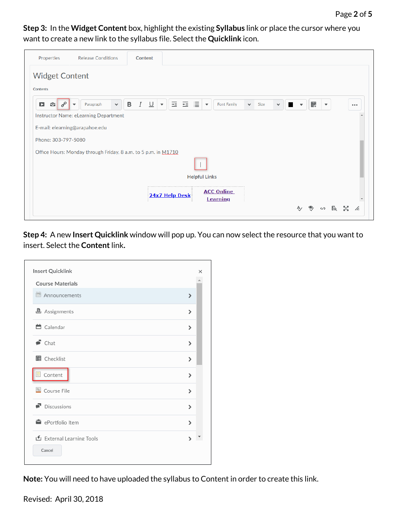**Step 3:** In the **Widget Content** box, highlight the existing **Syllabus** link or place the cursor where you want to create a new link to the syllabus file. Select the **Quicklink** icon.

| Properties                      | <b>Release Conditions</b>                                      | <b>Content</b>                                                                                                                                                                                                                    |            |
|---------------------------------|----------------------------------------------------------------|-----------------------------------------------------------------------------------------------------------------------------------------------------------------------------------------------------------------------------------|------------|
| <b>Widget Content</b>           |                                                                |                                                                                                                                                                                                                                   |            |
| <b>Contents</b>                 |                                                                |                                                                                                                                                                                                                                   |            |
| $\mathscr{E}$<br>D<br>$\bullet$ | Paragraph<br>$\checkmark$<br>$\overline{\phantom{a}}$          | 医唇目<br>$\, {\sf B}$<br>騦<br>I<br>$\underline{\cup}$<br><b>Font Family</b><br>$\overline{\phantom{m}}$<br>Size<br>$\checkmark$<br>$\overline{\phantom{a}}$<br>$\checkmark$<br>$\overline{\phantom{a}}$<br>$\overline{\phantom{a}}$ | $\cdots$   |
|                                 | Instructor Name: eLearning Department                          |                                                                                                                                                                                                                                   |            |
|                                 | E-mail: elearning@arapahoe.edu                                 |                                                                                                                                                                                                                                   |            |
| Phone: 303-797-5080             |                                                                |                                                                                                                                                                                                                                   |            |
|                                 | Office Hours: Monday through Friday, 8 a.m. to 5 p.m. in M1710 |                                                                                                                                                                                                                                   |            |
|                                 |                                                                |                                                                                                                                                                                                                                   |            |
|                                 |                                                                | <b>Helpful Links</b>                                                                                                                                                                                                              |            |
|                                 |                                                                | <b>ACC Online</b><br>24x7 Help Desk<br><b>Learning</b>                                                                                                                                                                            |            |
|                                 |                                                                | ୭<br>Eq.<br>$\langle / \rangle$                                                                                                                                                                                                   | -54.<br>h. |

**Step 4:** A new **Insert Quicklink** window will pop up. You can now select the resource that you want to insert. Select the **Content**link**.**

| Insert Quicklink                  |               | × |
|-----------------------------------|---------------|---|
| <b>Course Materials</b>           |               |   |
| ed Announcements                  | $\mathcal{P}$ |   |
| <b><u></u></b> Assignments        | $\mathcal{P}$ |   |
| <b>兰</b> Calendar                 | $\mathcal{P}$ |   |
| $\bullet$ Chat                    | $\mathcal{P}$ |   |
| <b>目</b> Checklist                | $\mathcal{P}$ |   |
| $\Box$ Content                    | $\mathcal{P}$ |   |
| Course File                       | $\mathcal{P}$ |   |
| $\blacksquare$ Discussions        | $\mathcal{P}$ |   |
| ePortfolio Item                   | $\mathcal{P}$ |   |
| External Learning Tools<br>Cancel | $\lambda$     |   |

**Note:** You will need to have uploaded the syllabus to Content in order to create this link.

Revised: April 30, 2018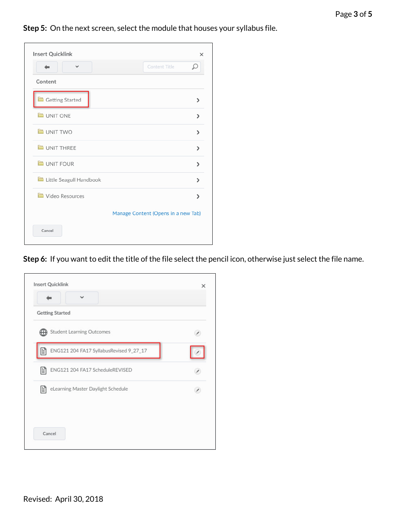**Step 5:** On the next screen, select the module that houses your syllabus file.

| $\checkmark$            | <b>Content Title</b>                |
|-------------------------|-------------------------------------|
| Content                 |                                     |
| Getting Started         | $\mathcal{P}$                       |
| UNIT ONE                | $\mathcal{P}$                       |
| UNIT TWO                | $\mathcal{P}$                       |
| UNIT THREE              | $\mathcal{P}$                       |
| UNIT FOUR               | $\mathcal{E}$                       |
| Little Seagull Handbook | ⋟                                   |
| Video Resources         | ⋟                                   |
|                         | Manage Content (Opens in a new Tab) |

**Step 6:** If you want to edit the title of the file select the pencil icon, otherwise just select the file name.

| <b>Insert Quicklink</b>                      | × |
|----------------------------------------------|---|
|                                              |   |
| <b>Getting Started</b>                       |   |
| Student Learning Outcomes                    |   |
| ENG121 204 FA17 SyllabusRevised 9_27_17<br>E |   |
| E<br>ENG121 204 FA17 ScheduleREVISED         |   |
| E<br>eLearning Master Daylight Schedule      |   |
|                                              |   |
| Cancel                                       |   |
|                                              |   |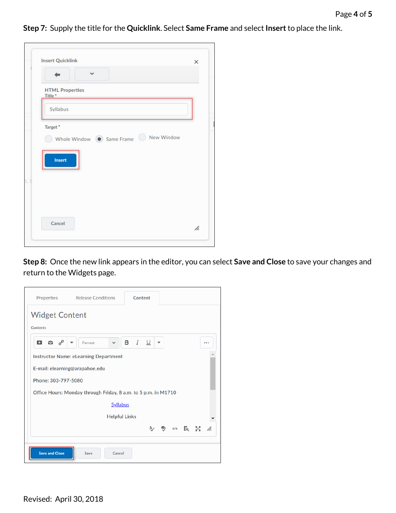**Step 7:** Supply the title for the **Quicklink**. Select **Same Frame** and select **Insert**to place the link.

|                                              | $\checkmark$                                                        |  |
|----------------------------------------------|---------------------------------------------------------------------|--|
|                                              |                                                                     |  |
| <b>HTML Properties</b><br>Title <sup>*</sup> |                                                                     |  |
| Syllabus                                     |                                                                     |  |
| Target*                                      |                                                                     |  |
|                                              |                                                                     |  |
|                                              | $\bigcirc$ Whole Window $\bigcirc$ Same Frame $\bigcirc$ New Window |  |
|                                              |                                                                     |  |
| Insert                                       |                                                                     |  |
|                                              |                                                                     |  |
|                                              |                                                                     |  |
|                                              |                                                                     |  |
|                                              |                                                                     |  |

**Step 8:** Once the new link appears in the editor, you can select **Save and Close** to save your changes and return to the Widgets page.

| Properties Release Conditions<br>Content                       |  |
|----------------------------------------------------------------|--|
| <b>Widget Content</b>                                          |  |
| Contents                                                       |  |
| □ ≎ ∘<br><b>B</b> $I \perp$<br>Format<br>$\checkmark$<br>▼<br> |  |
| <b>Instructor Name: eLearning Department</b>                   |  |
| E-mail: elearning@arapahoe.edu                                 |  |
| Phone: 303-797-5080                                            |  |
| Office Hours: Monday through Friday, 8 a.m. to 5 p.m. in M1710 |  |
| <b>Syllabus</b>                                                |  |
| <b>Helpful Links</b>                                           |  |
| <b>专 50 区 器 左</b>                                              |  |
|                                                                |  |
| <b>Save and Close</b><br>Save<br>Cancel                        |  |